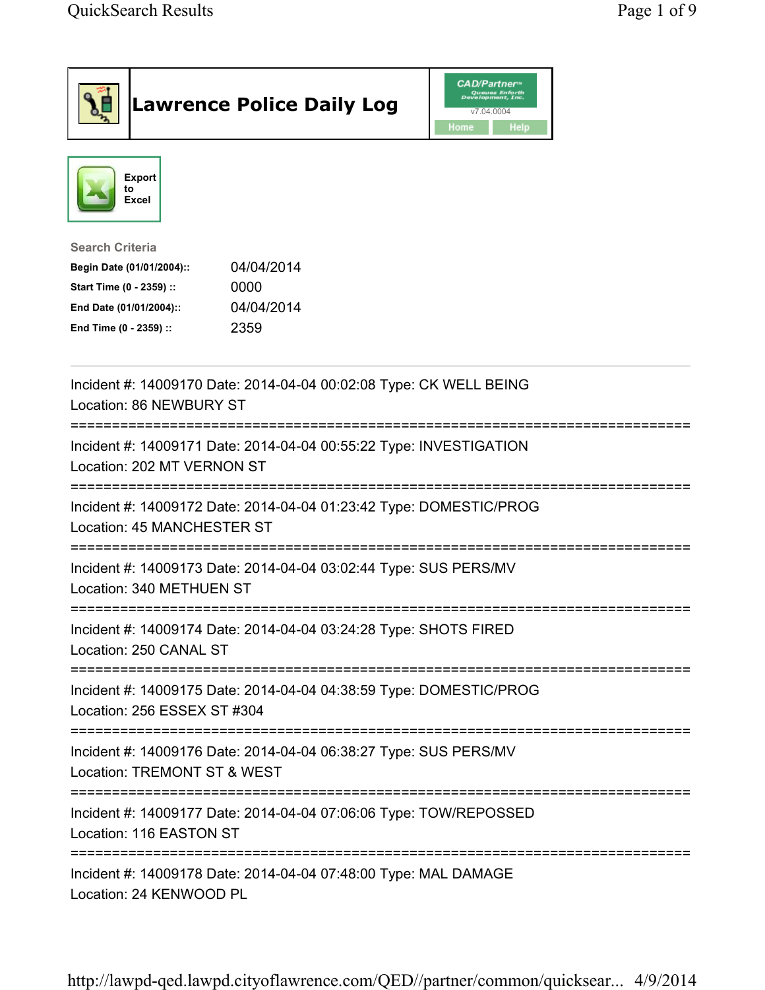|                                                                                                                                      | <b>Lawrence Police Daily Log</b>                                   | <b>CAD/Partner</b><br>Queues Enforth<br>Development, Inc.<br>v7.04.0004<br>Home<br><b>Help</b> |  |
|--------------------------------------------------------------------------------------------------------------------------------------|--------------------------------------------------------------------|------------------------------------------------------------------------------------------------|--|
| Export<br>to<br>Excel                                                                                                                |                                                                    |                                                                                                |  |
| <b>Search Criteria</b><br>Begin Date (01/01/2004)::<br>Start Time (0 - 2359) ::<br>End Date (01/01/2004)::<br>End Time (0 - 2359) :: | 04/04/2014<br>0000<br>04/04/2014<br>2359                           |                                                                                                |  |
| Location: 86 NEWBURY ST                                                                                                              | Incident #: 14009170 Date: 2014-04-04 00:02:08 Type: CK WELL BEING |                                                                                                |  |
| Location: 202 MT VERNON ST                                                                                                           | Incident #: 14009171 Date: 2014-04-04 00:55:22 Type: INVESTIGATION |                                                                                                |  |
| Location: 45 MANCHESTER ST                                                                                                           | Incident #: 14009172 Date: 2014-04-04 01:23:42 Type: DOMESTIC/PROG |                                                                                                |  |
| Location: 340 METHUEN ST                                                                                                             | Incident #: 14009173 Date: 2014-04-04 03:02:44 Type: SUS PERS/MV   |                                                                                                |  |
| Location: 250 CANAL ST                                                                                                               | Incident #: 14009174 Date: 2014-04-04 03:24:28 Type: SHOTS FIRED   |                                                                                                |  |
| Location: 256 ESSEX ST #304                                                                                                          | Incident #: 14009175 Date: 2014-04-04 04:38:59 Type: DOMESTIC/PROG |                                                                                                |  |
| Location: TREMONT ST & WEST                                                                                                          | Incident #: 14009176 Date: 2014-04-04 06:38:27 Type: SUS PERS/MV   |                                                                                                |  |
| Location: 116 EASTON ST                                                                                                              | Incident #: 14009177 Date: 2014-04-04 07:06:06 Type: TOW/REPOSSED  |                                                                                                |  |
| Location: 24 KENWOOD PL                                                                                                              | Incident #: 14009178 Date: 2014-04-04 07:48:00 Type: MAL DAMAGE    |                                                                                                |  |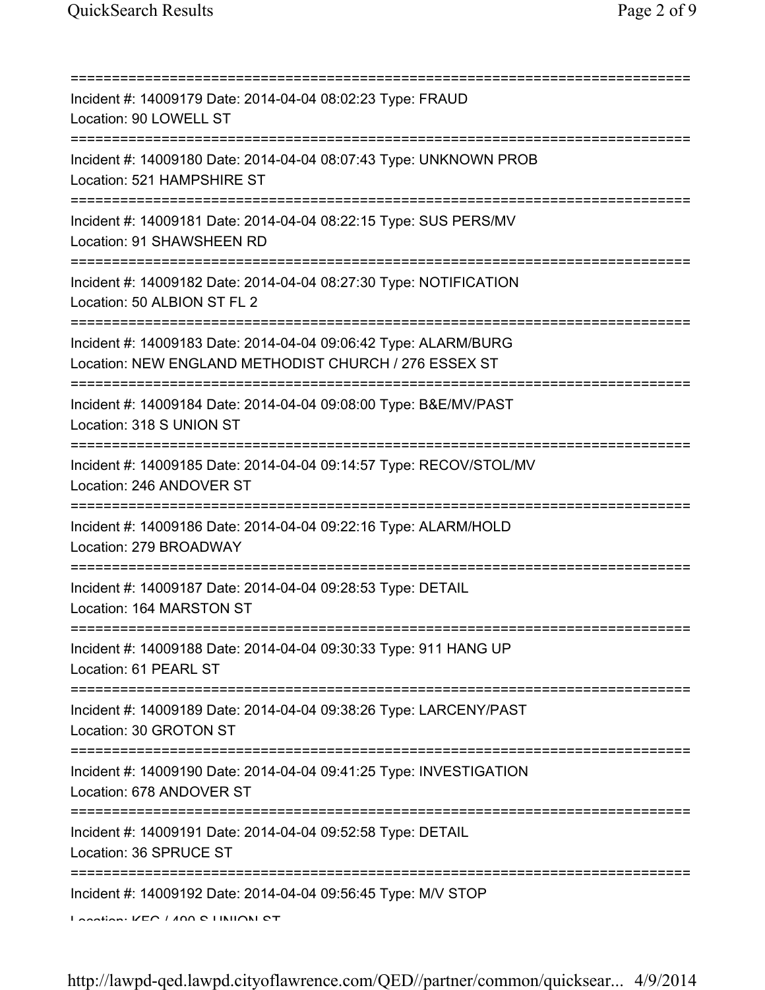| Incident #: 14009179 Date: 2014-04-04 08:02:23 Type: FRAUD<br>Location: 90 LOWELL ST                                                   |
|----------------------------------------------------------------------------------------------------------------------------------------|
| Incident #: 14009180 Date: 2014-04-04 08:07:43 Type: UNKNOWN PROB<br>Location: 521 HAMPSHIRE ST                                        |
| Incident #: 14009181 Date: 2014-04-04 08:22:15 Type: SUS PERS/MV<br>Location: 91 SHAWSHEEN RD<br>-----------------------               |
| Incident #: 14009182 Date: 2014-04-04 08:27:30 Type: NOTIFICATION<br>Location: 50 ALBION ST FL 2                                       |
| Incident #: 14009183 Date: 2014-04-04 09:06:42 Type: ALARM/BURG<br>Location: NEW ENGLAND METHODIST CHURCH / 276 ESSEX ST               |
| Incident #: 14009184 Date: 2014-04-04 09:08:00 Type: B&E/MV/PAST<br>Location: 318 S UNION ST<br>=====================================  |
| Incident #: 14009185 Date: 2014-04-04 09:14:57 Type: RECOV/STOL/MV<br>Location: 246 ANDOVER ST                                         |
| Incident #: 14009186 Date: 2014-04-04 09:22:16 Type: ALARM/HOLD<br>Location: 279 BROADWAY                                              |
| Incident #: 14009187 Date: 2014-04-04 09:28:53 Type: DETAIL<br>Location: 164 MARSTON ST                                                |
| Incident #: 14009188 Date: 2014-04-04 09:30:33 Type: 911 HANG UP<br>Location: 61 PEARL ST                                              |
| Incident #: 14009189 Date: 2014-04-04 09:38:26 Type: LARCENY/PAST<br>Location: 30 GROTON ST                                            |
| ====================================<br>Incident #: 14009190 Date: 2014-04-04 09:41:25 Type: INVESTIGATION<br>Location: 678 ANDOVER ST |
| Incident #: 14009191 Date: 2014-04-04 09:52:58 Type: DETAIL<br>Location: 36 SPRUCE ST                                                  |
| Incident #: 14009192 Date: 2014-04-04 09:56:45 Type: M/V STOP                                                                          |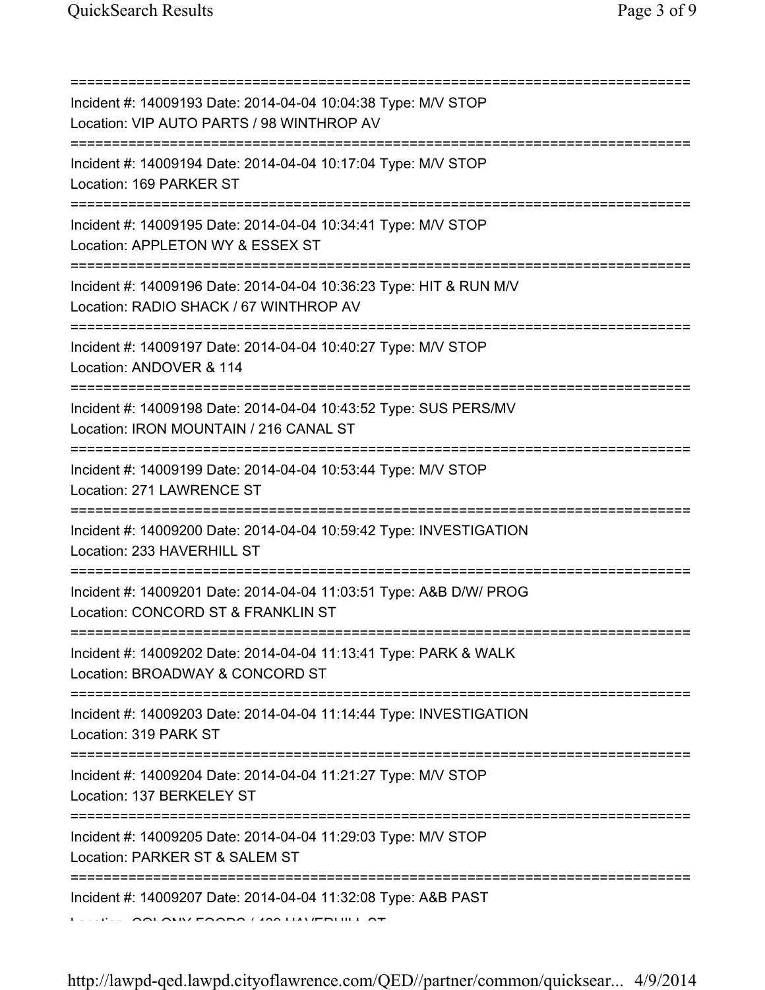| Incident #: 14009193 Date: 2014-04-04 10:04:38 Type: M/V STOP<br>Location: VIP AUTO PARTS / 98 WINTHROP AV<br>--------------------------               |
|--------------------------------------------------------------------------------------------------------------------------------------------------------|
| Incident #: 14009194 Date: 2014-04-04 10:17:04 Type: M/V STOP<br>Location: 169 PARKER ST                                                               |
| Incident #: 14009195 Date: 2014-04-04 10:34:41 Type: M/V STOP<br>Location: APPLETON WY & ESSEX ST<br>=====================================             |
| Incident #: 14009196 Date: 2014-04-04 10:36:23 Type: HIT & RUN M/V<br>Location: RADIO SHACK / 67 WINTHROP AV<br>====================================== |
| Incident #: 14009197 Date: 2014-04-04 10:40:27 Type: M/V STOP<br>Location: ANDOVER & 114                                                               |
| Incident #: 14009198 Date: 2014-04-04 10:43:52 Type: SUS PERS/MV<br>Location: IRON MOUNTAIN / 216 CANAL ST                                             |
| Incident #: 14009199 Date: 2014-04-04 10:53:44 Type: M/V STOP<br>Location: 271 LAWRENCE ST                                                             |
| Incident #: 14009200 Date: 2014-04-04 10:59:42 Type: INVESTIGATION<br>Location: 233 HAVERHILL ST                                                       |
| Incident #: 14009201 Date: 2014-04-04 11:03:51 Type: A&B D/W/ PROG<br>Location: CONCORD ST & FRANKLIN ST                                               |
| Incident #: 14009202 Date: 2014-04-04 11:13:41 Type: PARK & WALK<br>Location: BROADWAY & CONCORD ST                                                    |
| Incident #: 14009203 Date: 2014-04-04 11:14:44 Type: INVESTIGATION<br>Location: 319 PARK ST                                                            |
| Incident #: 14009204 Date: 2014-04-04 11:21:27 Type: M/V STOP<br>Location: 137 BERKELEY ST                                                             |
| ====================================<br>Incident #: 14009205 Date: 2014-04-04 11:29:03 Type: M/V STOP<br>Location: PARKER ST & SALEM ST                |
| Incident #: 14009207 Date: 2014-04-04 11:32:08 Type: A&B PAST<br><b>SEE AND AIREPAARA LIAN LIIN IFRI</b>                                               |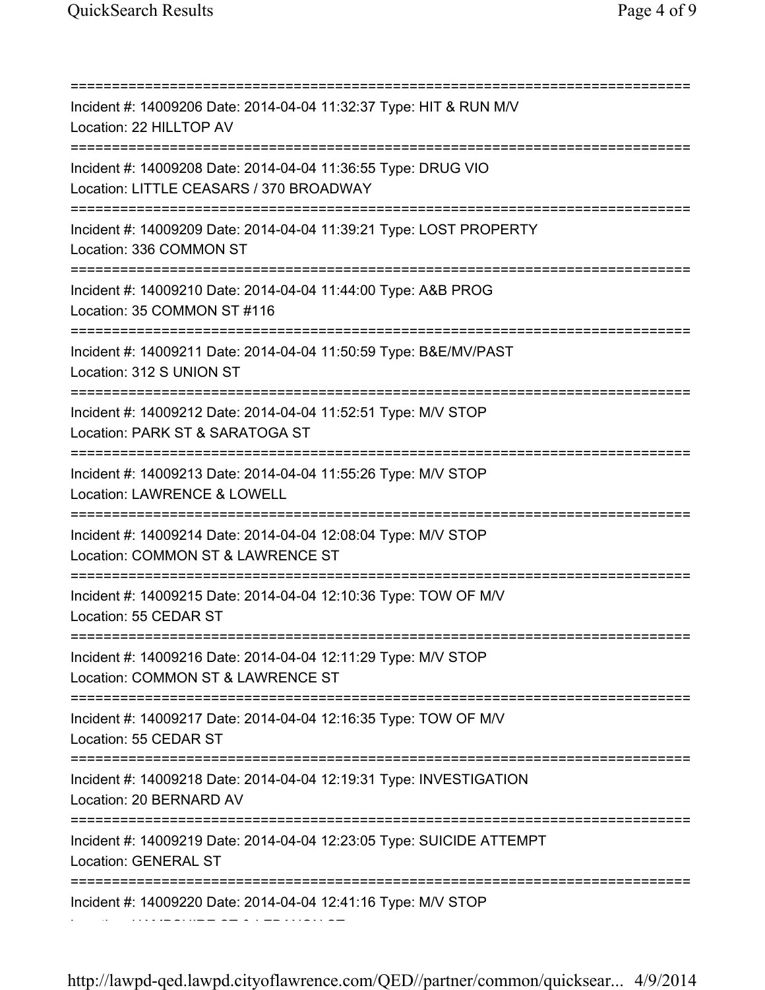=========================================================================== Incident #: 14009206 Date: 2014-04-04 11:32:37 Type: HIT & RUN M/V Location: 22 HILLTOP AV =========================================================================== Incident #: 14009208 Date: 2014-04-04 11:36:55 Type: DRUG VIO Location: LITTLE CEASARS / 370 BROADWAY =========================================================================== Incident #: 14009209 Date: 2014-04-04 11:39:21 Type: LOST PROPERTY Location: 336 COMMON ST =========================================================================== Incident #: 14009210 Date: 2014-04-04 11:44:00 Type: A&B PROG Location: 35 COMMON ST #116 =========================================================================== Incident #: 14009211 Date: 2014-04-04 11:50:59 Type: B&E/MV/PAST Location: 312 S UNION ST =========================================================================== Incident #: 14009212 Date: 2014-04-04 11:52:51 Type: M/V STOP Location: PARK ST & SARATOGA ST =========================================================================== Incident #: 14009213 Date: 2014-04-04 11:55:26 Type: M/V STOP Location: LAWRENCE & LOWELL =========================================================================== Incident #: 14009214 Date: 2014-04-04 12:08:04 Type: M/V STOP Location: COMMON ST & LAWRENCE ST =========================================================================== Incident #: 14009215 Date: 2014-04-04 12:10:36 Type: TOW OF M/V Location: 55 CEDAR ST =========================================================================== Incident #: 14009216 Date: 2014-04-04 12:11:29 Type: M/V STOP Location: COMMON ST & LAWRENCE ST =========================================================================== Incident #: 14009217 Date: 2014-04-04 12:16:35 Type: TOW OF M/V Location: 55 CEDAR ST =========================================================================== Incident #: 14009218 Date: 2014-04-04 12:19:31 Type: INVESTIGATION Location: 20 BERNARD AV =========================================================================== Incident #: 14009219 Date: 2014-04-04 12:23:05 Type: SUICIDE ATTEMPT Location: GENERAL ST =========================================================================== Incident #: 14009220 Date: 2014-04-04 12:41:16 Type: M/V STOP Location: HAMPSHIRE ST & LEBANON ST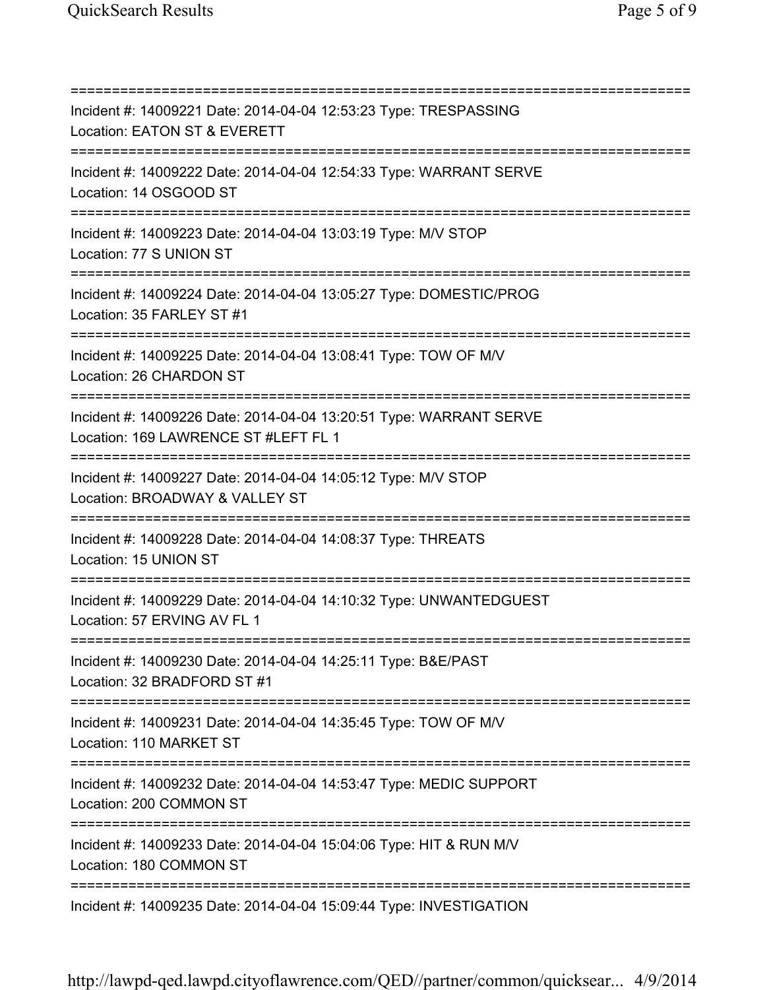=========================================================================== Incident #: 14009221 Date: 2014-04-04 12:53:23 Type: TRESPASSING Location: EATON ST & EVERETT =========================================================================== Incident #: 14009222 Date: 2014-04-04 12:54:33 Type: WARRANT SERVE Location: 14 OSGOOD ST =========================================================================== Incident #: 14009223 Date: 2014-04-04 13:03:19 Type: M/V STOP Location: 77 S UNION ST =========================================================================== Incident #: 14009224 Date: 2014-04-04 13:05:27 Type: DOMESTIC/PROG Location: 35 FARLEY ST #1 =========================================================================== Incident #: 14009225 Date: 2014-04-04 13:08:41 Type: TOW OF M/V Location: 26 CHARDON ST =========================================================================== Incident #: 14009226 Date: 2014-04-04 13:20:51 Type: WARRANT SERVE Location: 169 LAWRENCE ST #LEFT FL 1 =========================================================================== Incident #: 14009227 Date: 2014-04-04 14:05:12 Type: M/V STOP Location: BROADWAY & VALLEY ST =========================================================================== Incident #: 14009228 Date: 2014-04-04 14:08:37 Type: THREATS Location: 15 UNION ST =========================================================================== Incident #: 14009229 Date: 2014-04-04 14:10:32 Type: UNWANTEDGUEST Location: 57 ERVING AV FL 1 =========================================================================== Incident #: 14009230 Date: 2014-04-04 14:25:11 Type: B&E/PAST Location: 32 BRADFORD ST #1 =========================================================================== Incident #: 14009231 Date: 2014-04-04 14:35:45 Type: TOW OF M/V Location: 110 MARKET ST =========================================================================== Incident #: 14009232 Date: 2014-04-04 14:53:47 Type: MEDIC SUPPORT Location: 200 COMMON ST =========================================================================== Incident #: 14009233 Date: 2014-04-04 15:04:06 Type: HIT & RUN M/V Location: 180 COMMON ST =========================================================================== Incident #: 14009235 Date: 2014-04-04 15:09:44 Type: INVESTIGATION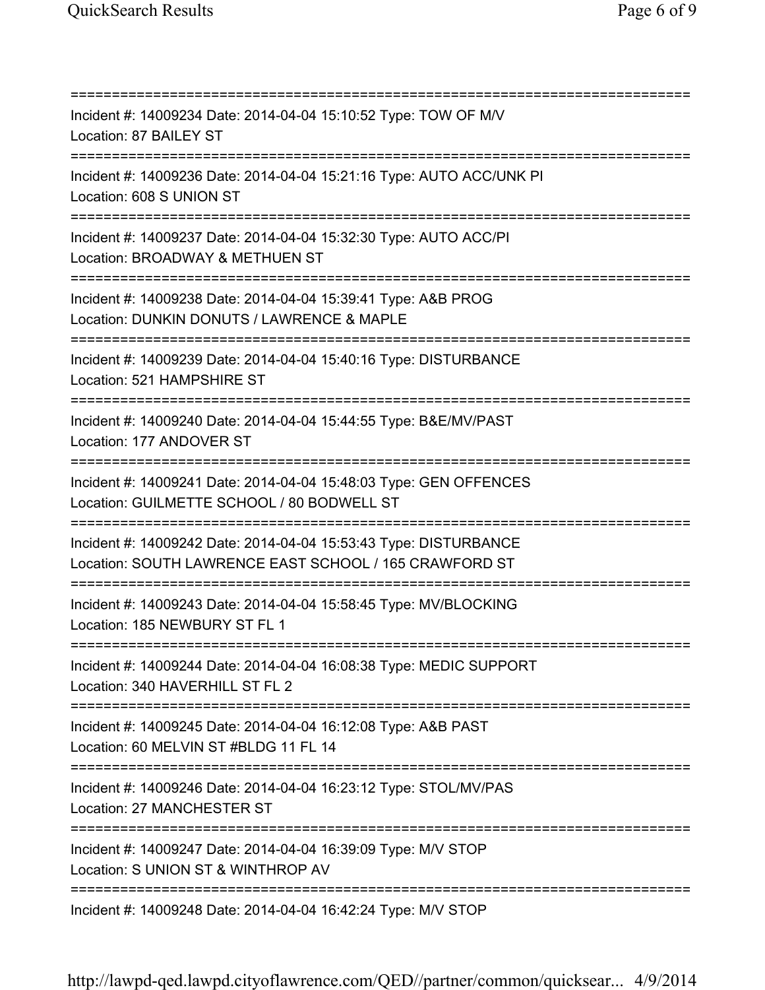=========================================================================== Incident #: 14009234 Date: 2014-04-04 15:10:52 Type: TOW OF M/V Location: 87 BAILEY ST =========================================================================== Incident #: 14009236 Date: 2014-04-04 15:21:16 Type: AUTO ACC/UNK PI Location: 608 S UNION ST =========================================================================== Incident #: 14009237 Date: 2014-04-04 15:32:30 Type: AUTO ACC/PI Location: BROADWAY & METHUEN ST =========================================================================== Incident #: 14009238 Date: 2014-04-04 15:39:41 Type: A&B PROG Location: DUNKIN DONUTS / LAWRENCE & MAPLE =========================================================================== Incident #: 14009239 Date: 2014-04-04 15:40:16 Type: DISTURBANCE Location: 521 HAMPSHIRE ST =========================================================================== Incident #: 14009240 Date: 2014-04-04 15:44:55 Type: B&E/MV/PAST Location: 177 ANDOVER ST =========================================================================== Incident #: 14009241 Date: 2014-04-04 15:48:03 Type: GEN OFFENCES Location: GUILMETTE SCHOOL / 80 BODWELL ST =========================================================================== Incident #: 14009242 Date: 2014-04-04 15:53:43 Type: DISTURBANCE Location: SOUTH LAWRENCE EAST SCHOOL / 165 CRAWFORD ST =========================================================================== Incident #: 14009243 Date: 2014-04-04 15:58:45 Type: MV/BLOCKING Location: 185 NEWBURY ST FL 1 =========================================================================== Incident #: 14009244 Date: 2014-04-04 16:08:38 Type: MEDIC SUPPORT Location: 340 HAVERHILL ST FL 2 =========================================================================== Incident #: 14009245 Date: 2014-04-04 16:12:08 Type: A&B PAST Location: 60 MELVIN ST #BLDG 11 FL 14 =========================================================================== Incident #: 14009246 Date: 2014-04-04 16:23:12 Type: STOL/MV/PAS Location: 27 MANCHESTER ST =========================================================================== Incident #: 14009247 Date: 2014-04-04 16:39:09 Type: M/V STOP Location: S UNION ST & WINTHROP AV =========================================================================== Incident #: 14009248 Date: 2014-04-04 16:42:24 Type: M/V STOP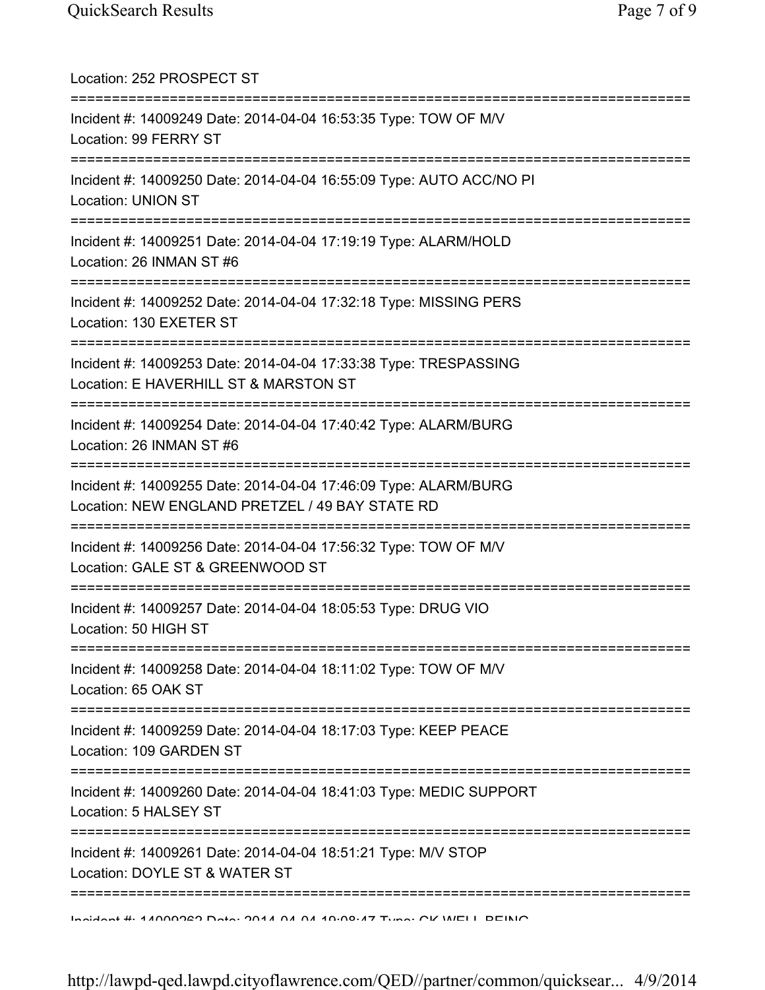| Location: 252 PROSPECT ST                                                                                                       |
|---------------------------------------------------------------------------------------------------------------------------------|
| Incident #: 14009249 Date: 2014-04-04 16:53:35 Type: TOW OF M/V<br>Location: 99 FERRY ST                                        |
| Incident #: 14009250 Date: 2014-04-04 16:55:09 Type: AUTO ACC/NO PI<br><b>Location: UNION ST</b>                                |
| Incident #: 14009251 Date: 2014-04-04 17:19:19 Type: ALARM/HOLD<br>Location: 26 INMAN ST #6<br>;=============================== |
| Incident #: 14009252 Date: 2014-04-04 17:32:18 Type: MISSING PERS<br>Location: 130 EXETER ST                                    |
| Incident #: 14009253 Date: 2014-04-04 17:33:38 Type: TRESPASSING<br>Location: E HAVERHILL ST & MARSTON ST                       |
| Incident #: 14009254 Date: 2014-04-04 17:40:42 Type: ALARM/BURG<br>Location: 26 INMAN ST #6                                     |
| Incident #: 14009255 Date: 2014-04-04 17:46:09 Type: ALARM/BURG<br>Location: NEW ENGLAND PRETZEL / 49 BAY STATE RD              |
| Incident #: 14009256 Date: 2014-04-04 17:56:32 Type: TOW OF M/V<br>Location: GALE ST & GREENWOOD ST                             |
| Incident #: 14009257 Date: 2014-04-04 18:05:53 Type: DRUG VIO<br>Location: 50 HIGH ST                                           |
| Incident #: 14009258 Date: 2014-04-04 18:11:02 Type: TOW OF M/V<br>Location: 65 OAK ST                                          |
| :=======================<br>Incident #: 14009259 Date: 2014-04-04 18:17:03 Type: KEEP PEACE<br>Location: 109 GARDEN ST          |
| Incident #: 14009260 Date: 2014-04-04 18:41:03 Type: MEDIC SUPPORT<br>Location: 5 HALSEY ST                                     |
| Incident #: 14009261 Date: 2014-04-04 18:51:21 Type: M/V STOP<br>Location: DOYLE ST & WATER ST                                  |
| ;==========<br>Incident #: 4 ANNOPER Deta: 004 A A A A 40:00:47 Tune: OV WELL DEINIO                                            |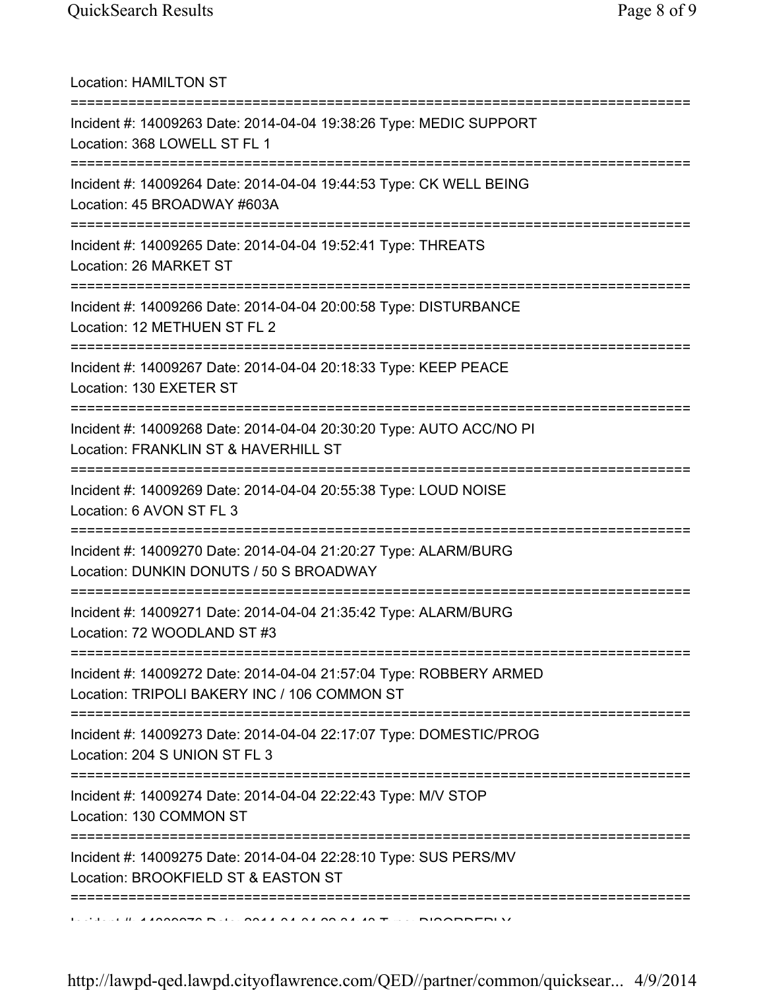Location: HAMILTON ST =========================================================================== Incident #: 14009263 Date: 2014-04-04 19:38:26 Type: MEDIC SUPPORT Location: 368 LOWELL ST FL 1 =========================================================================== Incident #: 14009264 Date: 2014-04-04 19:44:53 Type: CK WELL BEING Location: 45 BROADWAY #603A =========================================================================== Incident #: 14009265 Date: 2014-04-04 19:52:41 Type: THREATS Location: 26 MARKET ST =========================================================================== Incident #: 14009266 Date: 2014-04-04 20:00:58 Type: DISTURBANCE Location: 12 METHUEN ST FL 2 =========================================================================== Incident #: 14009267 Date: 2014-04-04 20:18:33 Type: KEEP PEACE Location: 130 EXETER ST =========================================================================== Incident #: 14009268 Date: 2014-04-04 20:30:20 Type: AUTO ACC/NO PI Location: FRANKLIN ST & HAVERHILL ST =========================================================================== Incident #: 14009269 Date: 2014-04-04 20:55:38 Type: LOUD NOISE Location: 6 AVON ST FL 3 =========================================================================== Incident #: 14009270 Date: 2014-04-04 21:20:27 Type: ALARM/BURG Location: DUNKIN DONUTS / 50 S BROADWAY =========================================================================== Incident #: 14009271 Date: 2014-04-04 21:35:42 Type: ALARM/BURG Location: 72 WOODLAND ST #3 =========================================================================== Incident #: 14009272 Date: 2014-04-04 21:57:04 Type: ROBBERY ARMED Location: TRIPOLI BAKERY INC / 106 COMMON ST =========================================================================== Incident #: 14009273 Date: 2014-04-04 22:17:07 Type: DOMESTIC/PROG Location: 204 S UNION ST FL 3 =========================================================================== Incident #: 14009274 Date: 2014-04-04 22:22:43 Type: M/V STOP Location: 130 COMMON ST =========================================================================== Incident #: 14009275 Date: 2014-04-04 22:28:10 Type: SUS PERS/MV Location: BROOKFIELD ST & EASTON ST ===========================================================================  $1$   $\mu$  44000070 Date: 0044 04 04 00 04 40 Type: DIOODDERLY